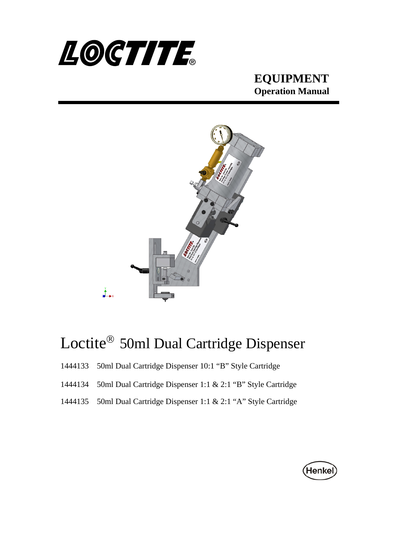



# Loctite<sup>®</sup> 50ml Dual Cartridge Dispenser

- 1444133 50ml Dual Cartridge Dispenser 10:1 "B" Style Cartridge
- 1444134 50ml Dual Cartridge Dispenser 1:1 & 2:1 "B" Style Cartridge
- 1444135 50ml Dual Cartridge Dispenser 1:1 & 2:1 "A" Style Cartridge

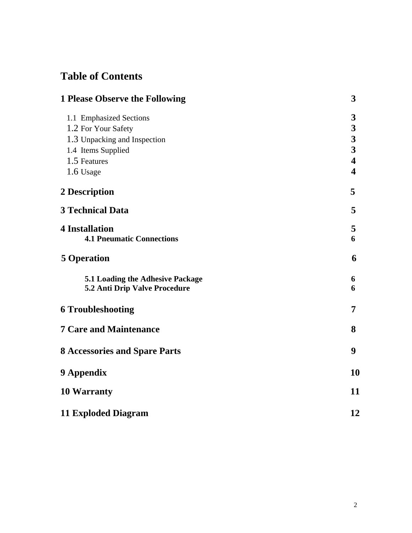## **Table of Contents**

| <b>1 Please Observe the Following</b>                                                                                             |                                                                                                                                                  |
|-----------------------------------------------------------------------------------------------------------------------------------|--------------------------------------------------------------------------------------------------------------------------------------------------|
| 1.1 Emphasized Sections<br>1.2 For Your Safety<br>1.3 Unpacking and Inspection<br>1.4 Items Supplied<br>1.5 Features<br>1.6 Usage | $\boldsymbol{3}$<br>$\boldsymbol{3}$<br>$\overline{\mathbf{3}}$<br>$\overline{\mathbf{3}}$<br>$\overline{\mathbf{4}}$<br>$\overline{\mathbf{4}}$ |
| 2 Description                                                                                                                     | 5                                                                                                                                                |
| <b>3 Technical Data</b>                                                                                                           | 5                                                                                                                                                |
| <b>4 Installation</b><br><b>4.1 Pneumatic Connections</b>                                                                         | 5<br>6                                                                                                                                           |
| <b>5 Operation</b>                                                                                                                | 6                                                                                                                                                |
| 5.1 Loading the Adhesive Package<br>5.2 Anti Drip Valve Procedure                                                                 | 6<br>6                                                                                                                                           |
| <b>6 Troubleshooting</b>                                                                                                          | 7                                                                                                                                                |
| <b>7 Care and Maintenance</b>                                                                                                     | 8                                                                                                                                                |
| <b>8 Accessories and Spare Parts</b>                                                                                              | 9                                                                                                                                                |
| 9 Appendix                                                                                                                        | 10                                                                                                                                               |
| <b>10 Warranty</b>                                                                                                                | 11                                                                                                                                               |
| <b>11 Exploded Diagram</b>                                                                                                        | 12                                                                                                                                               |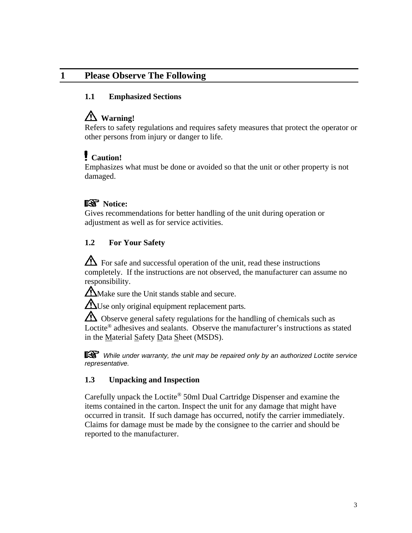#### **1 Please Observe The Following**

#### **1.1 Emphasized Sections**

### **Warning!**

Refers to safety regulations and requires safety measures that protect the operator or other persons from injury or danger to life.

#### **Caution!**

Emphasizes what must be done or avoided so that the unit or other property is not damaged.

#### **图** Notice:

Gives recommendations for better handling of the unit during operation or adjustment as well as for service activities.

#### **1.2 For Your Safety**

 $\Delta$  For safe and successful operation of the unit, read these instructions completely. If the instructions are not observed, the manufacturer can assume no responsibility.

**M** Make sure the Unit stands stable and secure.

 $\Delta$ Use only original equipment replacement parts.

 $\Delta$  Observe general safety regulations for the handling of chemicals such as Loctite<sup>®</sup> adhesives and sealants. Observe the manufacturer's instructions as stated in the Material Safety Data Sheet (MSDS).

 *While under warranty, the unit may be repaired only by an authorized Loctite service representative.* 

#### **1.3 Unpacking and Inspection**

Carefully unpack the Loctite® 50ml Dual Cartridge Dispenser and examine the items contained in the carton. Inspect the unit for any damage that might have occurred in transit. If such damage has occurred, notify the carrier immediately. Claims for damage must be made by the consignee to the carrier and should be reported to the manufacturer.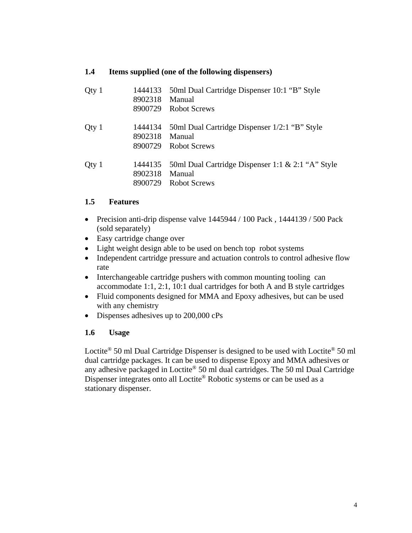#### **1.4 Items supplied (one of the following dispensers)**

| Qty 1 | 1444133<br>8902318<br>8900729 | 50ml Dual Cartridge Dispenser 10:1 "B" Style<br>Manual<br>Robot Screws         |
|-------|-------------------------------|--------------------------------------------------------------------------------|
| Qty 1 | 1444134<br>8902318<br>8900729 | 50ml Dual Cartridge Dispenser 1/2:1 "B" Style<br>Manual<br><b>Robot Screws</b> |
| Qty 1 | 1444135<br>8902318<br>8900729 | 50ml Dual Cartridge Dispenser 1:1 & 2:1 "A" Style<br>Manual<br>Robot Screws    |

#### **1.5 Features**

- Precision anti-drip dispense valve 1445944 / 100 Pack, 1444139 / 500 Pack (sold separately)
- Easy cartridge change over
- Light weight design able to be used on bench top robot systems
- Independent cartridge pressure and actuation controls to control adhesive flow rate
- Interchangeable cartridge pushers with common mounting tooling can accommodate 1:1, 2:1, 10:1 dual cartridges for both A and B style cartridges
- Fluid components designed for MMA and Epoxy adhesives, but can be used with any chemistry
- Dispenses adhesives up to 200,000 cPs

#### **1.6 Usage**

Loctite® 50 ml Dual Cartridge Dispenser is designed to be used with Loctite® 50 ml dual cartridge packages. It can be used to dispense Epoxy and MMA adhesives or any adhesive packaged in Loctite® 50 ml dual cartridges. The 50 ml Dual Cartridge Dispenser integrates onto all Loctite<sup>®</sup> Robotic systems or can be used as a stationary dispenser.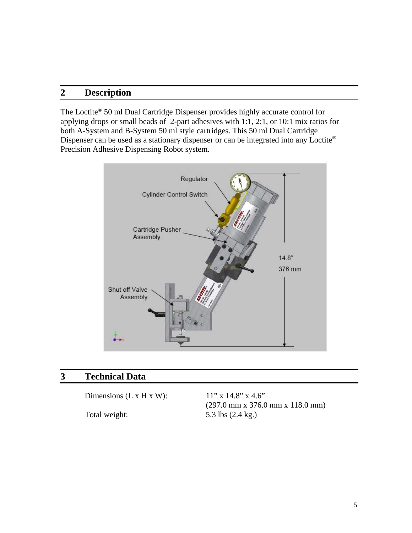#### **2 Description**

The Loctite® 50 ml Dual Cartridge Dispenser provides highly accurate control for applying drops or small beads of 2-part adhesives with 1:1, 2:1, or 10:1 mix ratios for both A-System and B-System 50 ml style cartridges. This 50 ml Dual Cartridge Dispenser can be used as a stationary dispenser or can be integrated into any Loctite® Precision Adhesive Dispensing Robot system.



#### **3 Technical Data**

Dimensions (L x H x W):  $11''$  x 14.8" x 4.6"

(297.0 mm x 376.0 mm x 118.0 mm) Total weight: 5.3 lbs (2.4 kg.)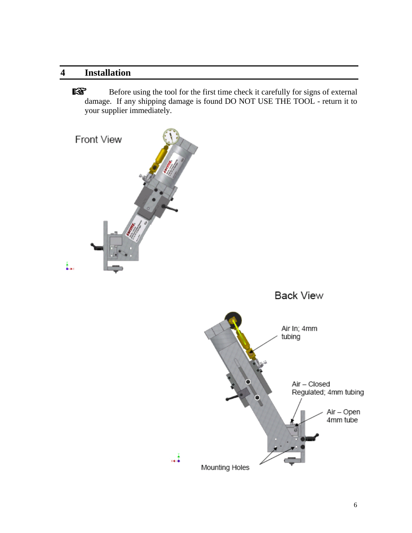#### **4 Installation**

隐 Before using the tool for the first time check it carefully for signs of external damage. If any shipping damage is found DO NOT USE THE TOOL - return it to your supplier immediately.

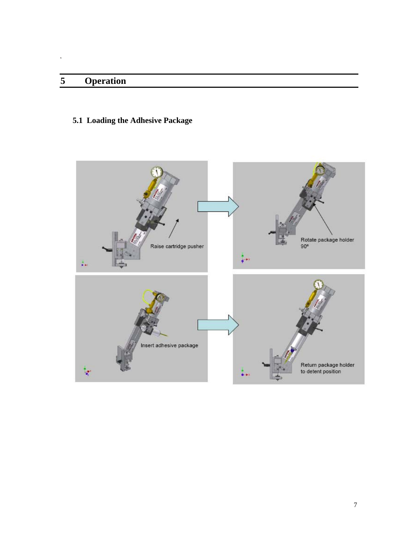## **5 Operation**

 $\ddot{\phantom{1}}$ 

#### **5.1 Loading the Adhesive Package**

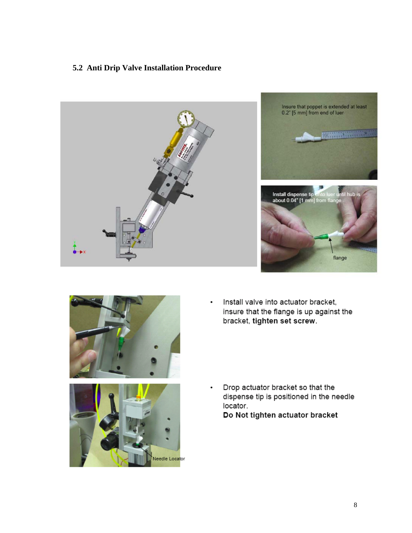#### **5.2 Anti Drip Valve Installation Procedure**







Install valve into actuator bracket, insure that the flange is up against the bracket, tighten set screw.



Drop actuator bracket so that the dispense tip is positioned in the needle locator.

Do Not tighten actuator bracket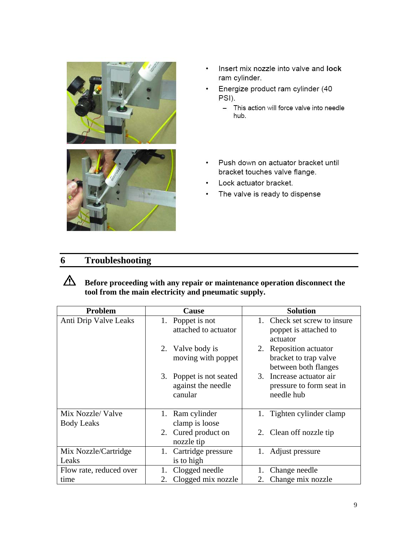

- Insert mix nozzle into valve and lock  $\bullet$ ram cylinder.
- Energize product ram cylinder (40  $\cdot$ PSI).
	- This action will force valve into needle hub.
- $\bullet$ Push down on actuator bracket until bracket touches valve flange.
- Lock actuator bracket.  $\cdot$
- The valve is ready to dispense  $\bullet$

#### **6 Troubleshooting**



**Before proceeding with any repair or maintenance operation disconnect the tool from the main electricity and pneumatic supply.** 

| Problem                 | Cause                             | <b>Solution</b>                               |
|-------------------------|-----------------------------------|-----------------------------------------------|
| Anti Drip Valve Leaks   | Poppet is not                     | 1. Check set screw to insure                  |
|                         | attached to actuator              | poppet is attached to<br>actuator             |
|                         | 2. Valve body is                  | 2. Reposition actuator                        |
|                         | moving with poppet                | bracket to trap valve<br>between both flanges |
|                         | 3. Poppet is not seated           | 3. Increase actuator air                      |
|                         | against the needle                | pressure to form seat in                      |
|                         | canular                           | needle hub                                    |
| Mix Nozzle/Valve        | 1. Ram cylinder                   | Tighten cylinder clamp<br>1.                  |
| <b>Body Leaks</b>       | clamp is loose                    |                                               |
|                         | 2. Cured product on<br>nozzle tip | 2. Clean off nozzle tip                       |
| Mix Nozzle/Cartridge    | Cartridge pressure<br>1.          | Adjust pressure<br>1.                         |
| Leaks                   | is to high                        |                                               |
| Flow rate, reduced over | Clogged needle                    | Change needle                                 |
| time                    | Clogged mix nozzle<br>2.          | Change mix nozzle<br>2.                       |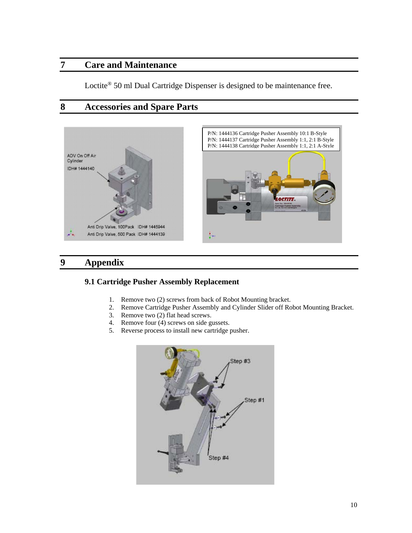#### **7 Care and Maintenance**

Loctite<sup>®</sup> 50 ml Dual Cartridge Dispenser is designed to be maintenance free.

#### **8 Accessories and Spare Parts**





#### **9 Appendix**

#### **9.1 Cartridge Pusher Assembly Replacement**

- 1. Remove two (2) screws from back of Robot Mounting bracket.
- 2. Remove Cartridge Pusher Assembly and Cylinder Slider off Robot Mounting Bracket.
- 3. Remove two (2) flat head screws.
- 4. Remove four (4) screws on side gussets.
- 5. Reverse process to install new cartridge pusher.

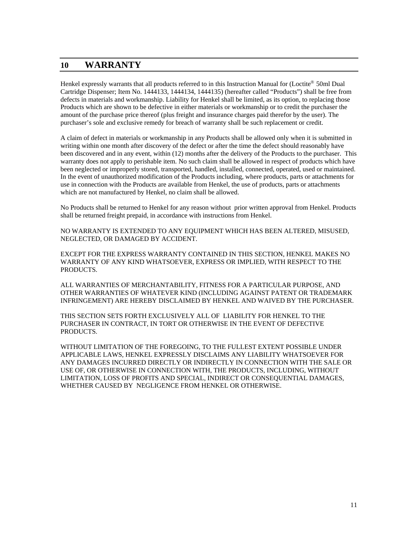#### **10 WARRANTY**

Henkel expressly warrants that all products referred to in this Instruction Manual for (Loctite® 50ml Dual Cartridge Dispenser; Item No. 1444133, 1444134, 1444135) (hereafter called "Products") shall be free from defects in materials and workmanship. Liability for Henkel shall be limited, as its option, to replacing those Products which are shown to be defective in either materials or workmanship or to credit the purchaser the amount of the purchase price thereof (plus freight and insurance charges paid therefor by the user). The purchaser's sole and exclusive remedy for breach of warranty shall be such replacement or credit.

A claim of defect in materials or workmanship in any Products shall be allowed only when it is submitted in writing within one month after discovery of the defect or after the time the defect should reasonably have been discovered and in any event, within (12) months after the delivery of the Products to the purchaser. This warranty does not apply to perishable item. No such claim shall be allowed in respect of products which have been neglected or improperly stored, transported, handled, installed, connected, operated, used or maintained. In the event of unauthorized modification of the Products including, where products, parts or attachments for use in connection with the Products are available from Henkel, the use of products, parts or attachments which are not manufactured by Henkel, no claim shall be allowed.

No Products shall be returned to Henkel for any reason without prior written approval from Henkel. Products shall be returned freight prepaid, in accordance with instructions from Henkel.

NO WARRANTY IS EXTENDED TO ANY EQUIPMENT WHICH HAS BEEN ALTERED, MISUSED, NEGLECTED, OR DAMAGED BY ACCIDENT.

EXCEPT FOR THE EXPRESS WARRANTY CONTAINED IN THIS SECTION, HENKEL MAKES NO WARRANTY OF ANY KIND WHATSOEVER, EXPRESS OR IMPLIED, WITH RESPECT TO THE PRODUCTS.

ALL WARRANTIES OF MERCHANTABILITY, FITNESS FOR A PARTICULAR PURPOSE, AND OTHER WARRANTIES OF WHATEVER KIND (INCLUDING AGAINST PATENT OR TRADEMARK INFRINGEMENT) ARE HEREBY DISCLAIMED BY HENKEL AND WAIVED BY THE PURCHASER.

THIS SECTION SETS FORTH EXCLUSIVELY ALL OF LIABILITY FOR HENKEL TO THE PURCHASER IN CONTRACT, IN TORT OR OTHERWISE IN THE EVENT OF DEFECTIVE PRODUCTS.

WITHOUT LIMITATION OF THE FOREGOING, TO THE FULLEST EXTENT POSSIBLE UNDER APPLICABLE LAWS, HENKEL EXPRESSLY DISCLAIMS ANY LIABILITY WHATSOEVER FOR ANY DAMAGES INCURRED DIRECTLY OR INDIRECTLY IN CONNECTION WITH THE SALE OR USE OF, OR OTHERWISE IN CONNECTION WITH, THE PRODUCTS, INCLUDING, WITHOUT LIMITATION, LOSS OF PROFITS AND SPECIAL, INDIRECT OR CONSEQUENTIAL DAMAGES, WHETHER CAUSED BY NEGLIGENCE FROM HENKEL OR OTHERWISE.